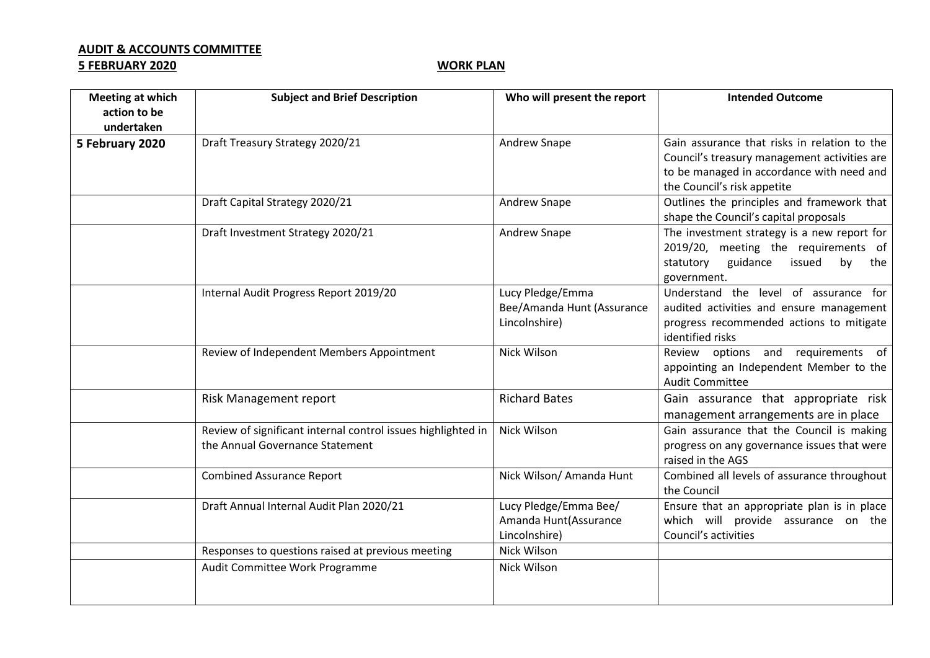## **AUDIT & ACCOUNTS COMMITTEE**

## **5 FEBRUARY 2020** WORK PLAN

| <b>Meeting at which</b> | <b>Subject and Brief Description</b>                         | Who will present the report | <b>Intended Outcome</b>                      |
|-------------------------|--------------------------------------------------------------|-----------------------------|----------------------------------------------|
| action to be            |                                                              |                             |                                              |
| undertaken              |                                                              |                             |                                              |
| 5 February 2020         | Draft Treasury Strategy 2020/21                              | <b>Andrew Snape</b>         | Gain assurance that risks in relation to the |
|                         |                                                              |                             | Council's treasury management activities are |
|                         |                                                              |                             | to be managed in accordance with need and    |
|                         |                                                              |                             | the Council's risk appetite                  |
|                         | Draft Capital Strategy 2020/21                               | Andrew Snape                | Outlines the principles and framework that   |
|                         |                                                              |                             | shape the Council's capital proposals        |
|                         | Draft Investment Strategy 2020/21                            | Andrew Snape                | The investment strategy is a new report for  |
|                         |                                                              |                             | 2019/20, meeting the requirements of         |
|                         |                                                              |                             | statutory<br>guidance<br>issued<br>by<br>the |
|                         |                                                              |                             | government.                                  |
|                         | Internal Audit Progress Report 2019/20                       | Lucy Pledge/Emma            | Understand the level of assurance for        |
|                         |                                                              | Bee/Amanda Hunt (Assurance  | audited activities and ensure management     |
|                         |                                                              | Lincolnshire)               | progress recommended actions to mitigate     |
|                         |                                                              |                             | identified risks                             |
|                         | Review of Independent Members Appointment                    | Nick Wilson                 | Review options and requirements of           |
|                         |                                                              |                             | appointing an Independent Member to the      |
|                         |                                                              |                             | <b>Audit Committee</b>                       |
|                         | Risk Management report                                       | <b>Richard Bates</b>        | Gain assurance that appropriate risk         |
|                         |                                                              |                             | management arrangements are in place         |
|                         | Review of significant internal control issues highlighted in | Nick Wilson                 | Gain assurance that the Council is making    |
|                         | the Annual Governance Statement                              |                             | progress on any governance issues that were  |
|                         |                                                              |                             | raised in the AGS                            |
|                         | <b>Combined Assurance Report</b>                             | Nick Wilson/ Amanda Hunt    | Combined all levels of assurance throughout  |
|                         |                                                              |                             | the Council                                  |
|                         | Draft Annual Internal Audit Plan 2020/21                     | Lucy Pledge/Emma Bee/       | Ensure that an appropriate plan is in place  |
|                         |                                                              | Amanda Hunt(Assurance       | which will provide assurance on the          |
|                         |                                                              | Lincolnshire)               | Council's activities                         |
|                         | Responses to questions raised at previous meeting            | Nick Wilson                 |                                              |
|                         | Audit Committee Work Programme                               | Nick Wilson                 |                                              |
|                         |                                                              |                             |                                              |
|                         |                                                              |                             |                                              |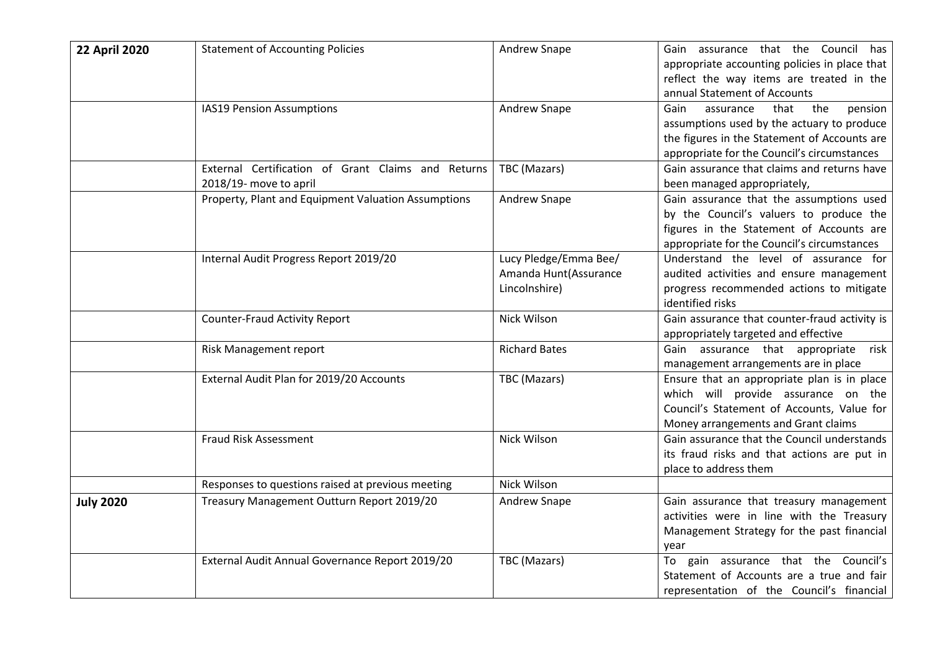| <b>22 April 2020</b> | <b>Statement of Accounting Policies</b>             | Andrew Snape          | Gain assurance that the Council has                                                       |
|----------------------|-----------------------------------------------------|-----------------------|-------------------------------------------------------------------------------------------|
|                      |                                                     |                       | appropriate accounting policies in place that<br>reflect the way items are treated in the |
|                      |                                                     |                       | annual Statement of Accounts                                                              |
|                      | IAS19 Pension Assumptions                           | Andrew Snape          | Gain<br>assurance<br>that<br>the<br>pension                                               |
|                      |                                                     |                       | assumptions used by the actuary to produce                                                |
|                      |                                                     |                       | the figures in the Statement of Accounts are                                              |
|                      |                                                     |                       | appropriate for the Council's circumstances                                               |
|                      | External Certification of Grant Claims and Returns  | TBC (Mazars)          | Gain assurance that claims and returns have                                               |
|                      | 2018/19- move to april                              |                       | been managed appropriately,                                                               |
|                      | Property, Plant and Equipment Valuation Assumptions | Andrew Snape          | Gain assurance that the assumptions used                                                  |
|                      |                                                     |                       | by the Council's valuers to produce the<br>figures in the Statement of Accounts are       |
|                      |                                                     |                       | appropriate for the Council's circumstances                                               |
|                      | Internal Audit Progress Report 2019/20              | Lucy Pledge/Emma Bee/ | Understand the level of assurance for                                                     |
|                      |                                                     | Amanda Hunt(Assurance | audited activities and ensure management                                                  |
|                      |                                                     | Lincolnshire)         | progress recommended actions to mitigate                                                  |
|                      |                                                     |                       | identified risks                                                                          |
|                      | <b>Counter-Fraud Activity Report</b>                | Nick Wilson           | Gain assurance that counter-fraud activity is                                             |
|                      |                                                     |                       | appropriately targeted and effective                                                      |
|                      | Risk Management report                              | <b>Richard Bates</b>  | Gain assurance that appropriate<br>risk                                                   |
|                      | External Audit Plan for 2019/20 Accounts            |                       | management arrangements are in place<br>Ensure that an appropriate plan is in place       |
|                      |                                                     | TBC (Mazars)          | which will provide assurance on the                                                       |
|                      |                                                     |                       | Council's Statement of Accounts, Value for                                                |
|                      |                                                     |                       | Money arrangements and Grant claims                                                       |
|                      | Fraud Risk Assessment                               | Nick Wilson           | Gain assurance that the Council understands                                               |
|                      |                                                     |                       | its fraud risks and that actions are put in                                               |
|                      |                                                     |                       | place to address them                                                                     |
|                      | Responses to questions raised at previous meeting   | Nick Wilson           |                                                                                           |
| <b>July 2020</b>     | Treasury Management Outturn Report 2019/20          | Andrew Snape          | Gain assurance that treasury management                                                   |
|                      |                                                     |                       | activities were in line with the Treasury                                                 |
|                      |                                                     |                       | Management Strategy for the past financial<br>year                                        |
|                      | External Audit Annual Governance Report 2019/20     | TBC (Mazars)          | To gain assurance that the Council's                                                      |
|                      |                                                     |                       | Statement of Accounts are a true and fair                                                 |
|                      |                                                     |                       | representation of the Council's financial                                                 |